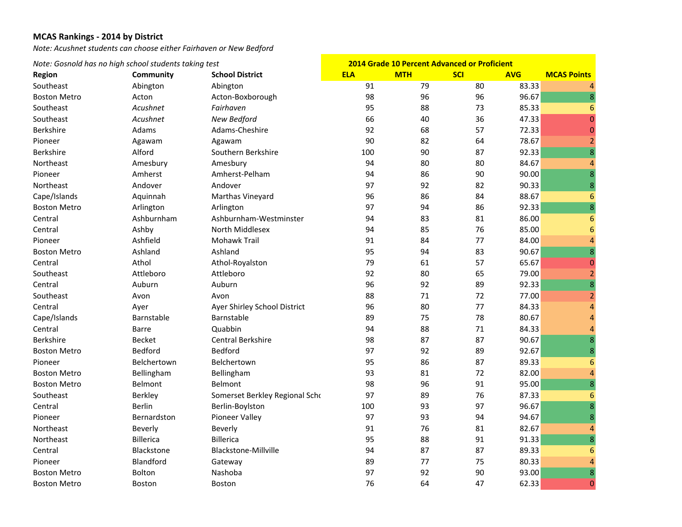*Note: Acushnet students can choose either Fairhaven or New Bedford*

|                     | Note: Gosnold has no high school students taking test |                                |            | <b>2014 Grade 10 Percent Advanced or Proficient</b> |            |            |                         |
|---------------------|-------------------------------------------------------|--------------------------------|------------|-----------------------------------------------------|------------|------------|-------------------------|
| <b>Region</b>       | Community                                             | <b>School District</b>         | <b>ELA</b> | <b>MTH</b>                                          | <b>SCI</b> | <b>AVG</b> | <b>MCAS Points</b>      |
| Southeast           | Abington                                              | Abington                       | 91         | 79                                                  | 80         | 83.33      | $\overline{4}$          |
| <b>Boston Metro</b> | Acton                                                 | Acton-Boxborough               | 98         | 96                                                  | 96         | 96.67      | 8                       |
| Southeast           | Acushnet                                              | Fairhaven                      | 95         | 88                                                  | 73         | 85.33      | $6\phantom{1}6$         |
| Southeast           | Acushnet                                              | New Bedford                    | 66         | 40                                                  | 36         | 47.33      | $\mathbf 0$             |
| Berkshire           | Adams                                                 | Adams-Cheshire                 | 92         | 68                                                  | 57         | 72.33      | $\mathbf 0$             |
| Pioneer             | Agawam                                                | Agawam                         | 90         | 82                                                  | 64         | 78.67      | $\overline{2}$          |
| Berkshire           | Alford                                                | Southern Berkshire             | 100        | 90                                                  | 87         | 92.33      | 8                       |
| Northeast           | Amesbury                                              | Amesbury                       | 94         | 80                                                  | 80         | 84.67      | $\overline{4}$          |
| Pioneer             | Amherst                                               | Amherst-Pelham                 | 94         | 86                                                  | 90         | 90.00      | $\overline{8}$          |
| Northeast           | Andover                                               | Andover                        | 97         | 92                                                  | 82         | 90.33      | $\bf 8$                 |
| Cape/Islands        | Aquinnah                                              | Marthas Vineyard               | 96         | 86                                                  | 84         | 88.67      | $6\phantom{1}6$         |
| <b>Boston Metro</b> | Arlington                                             | Arlington                      | 97         | 94                                                  | 86         | 92.33      | $\bf 8$                 |
| Central             | Ashburnham                                            | Ashburnham-Westminster         | 94         | 83                                                  | 81         | 86.00      | $6\phantom{1}6$         |
| Central             | Ashby                                                 | North Middlesex                | 94         | 85                                                  | 76         | 85.00      | $6\phantom{1}6$         |
| Pioneer             | Ashfield                                              | Mohawk Trail                   | 91         | 84                                                  | 77         | 84.00      | $\overline{a}$          |
| <b>Boston Metro</b> | Ashland                                               | Ashland                        | 95         | 94                                                  | 83         | 90.67      | $\overline{8}$          |
| Central             | Athol                                                 | Athol-Royalston                | 79         | 61                                                  | 57         | 65.67      | $\mathbf 0$             |
| Southeast           | Attleboro                                             | Attleboro                      | 92         | 80                                                  | 65         | 79.00      | $\overline{2}$          |
| Central             | Auburn                                                | Auburn                         | 96         | 92                                                  | 89         | 92.33      | $\overline{\mathbf{8}}$ |
| Southeast           | Avon                                                  | Avon                           | 88         | 71                                                  | 72         | 77.00      | $\overline{2}$          |
| Central             | Ayer                                                  | Ayer Shirley School District   | 96         | 80                                                  | 77         | 84.33      | $\overline{4}$          |
| Cape/Islands        | Barnstable                                            | Barnstable                     | 89         | 75                                                  | 78         | 80.67      | $\overline{4}$          |
| Central             | Barre                                                 | Quabbin                        | 94         | 88                                                  | 71         | 84.33      | $\overline{4}$          |
| <b>Berkshire</b>    | <b>Becket</b>                                         | Central Berkshire              | 98         | 87                                                  | 87         | 90.67      | 8                       |
| <b>Boston Metro</b> | <b>Bedford</b>                                        | Bedford                        | 97         | 92                                                  | 89         | 92.67      | $\bf8$                  |
| Pioneer             | Belchertown                                           | Belchertown                    | 95         | 86                                                  | 87         | 89.33      | $6\phantom{1}6$         |
| <b>Boston Metro</b> | Bellingham                                            | Bellingham                     | 93         | 81                                                  | 72         | 82.00      | $\overline{a}$          |
| <b>Boston Metro</b> | <b>Belmont</b>                                        | Belmont                        | 98         | 96                                                  | 91         | 95.00      | 8                       |
| Southeast           | Berkley                                               | Somerset Berkley Regional Scho | 97         | 89                                                  | 76         | 87.33      | $6\phantom{1}6$         |
| Central             | <b>Berlin</b>                                         | Berlin-Boylston                | 100        | 93                                                  | 97         | 96.67      | $\overline{8}$          |
| Pioneer             | Bernardston                                           | Pioneer Valley                 | 97         | 93                                                  | 94         | 94.67      | $\bf 8$                 |
| Northeast           | Beverly                                               | Beverly                        | 91         | 76                                                  | 81         | 82.67      | $\overline{4}$          |
| Northeast           | <b>Billerica</b>                                      | <b>Billerica</b>               | 95         | 88                                                  | 91         | 91.33      | 8                       |
| Central             | Blackstone                                            | Blackstone-Millville           | 94         | 87                                                  | 87         | 89.33      | 6                       |
| Pioneer             | Blandford                                             | Gateway                        | 89         | 77                                                  | 75         | 80.33      | $\overline{4}$          |
| <b>Boston Metro</b> | Bolton                                                | Nashoba                        | 97         | 92                                                  | 90         | 93.00      | 8                       |
| <b>Boston Metro</b> | <b>Boston</b>                                         | <b>Boston</b>                  | 76         | 64                                                  | 47         | 62.33      | $\mathbf 0$             |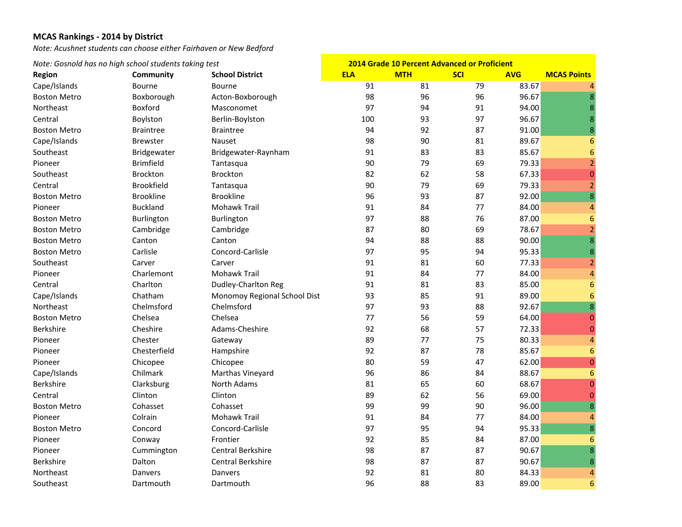*Note: Acushnet students can choose either Fairhaven or New Bedford*

#### *Note: Gosnold has no high school students taking test* **Region Community School District ELA MTH SCI AVG MCAS Points 2014 Grade 10 Percent Advanced or Proficient** Cape/Islands Bourne Bourne 91 81 79 83.67 4 **Boston Metro** Boxborough Acton‐Boxborough 98 96 96 96.67 8 Northeast Boxford Masconomet 97 94 91 94.00 8Central Boylston Berlin‐Boylston 100 93 97 96.67 8 **Boston Metro**  Metro Braintree Braintree 94 92 87 91.00 8 Cape/Islands Brewster Nauset 98 90 81 89.67 6 Southeast Bridgewater Bridgewater–Raynham 91 83 83 85.67 6 Pioneer Brimfield Tantasqua 90 79 69 79.33 2 Southeast Brockton Brockton 82 62 58 67.33 0Central Brookfield Tantasqua 90 79 69 79.33 2 **Boston Metro**  Metro Brookline Brookline 96 93 87 92.00 8 Pioneer **Buckland** Mohawk Trail Trail 91 84 77 84.00 4**Boston Metro** n Metro Burlington Burlington 97 88 76 87.00 6 **Boston Metro**  Metro Cambridge Cambridge 87 80 69 78.67 2 **Boston Metro**  Metro Canton Canton 94 88 88 90.00 8 **Boston Metro** n Metro Carlisle Concord‐Carlisle 97 95 94 95.33 8 Southeast Carver Carver 91 81 60 77.33 2Pioneer **Charlemont** Mohawk Trail Trail 91 84 77 84.00 4Central Charlton Dudley‐Charlton Reg 91 81 83 85.00 6 Cape/Islands Chatham Monomoy Regional School Dist 93 85 91 89.00 6 Northeast Chelmsford Chelmsford 97 93 88 92.67 8**Boston Metro** n Metro Chelsea Chelsea 77 56 59 64.00 0 Berkshire Cheshire Adams‐Cheshire 92 68 57 72.33 0 Pioneer Chester Gateway 89 77 75 80.33 4 Pioneer Chesterfield Hampshire 92 87 78 85.67 6 Pioneer Chicopee Chicopee 80 59 47 62.00 0 Cape/Islands Chilmark Marthas Vineyard 96 86 84 88.67 6 Berkshire Clarksburg North Adams 81 65 60 68.67 0 Central Clinton Clinton 89 62 56 69.00 0**Boston Metro** n Metro Cohasset Cohasset 99 99 90 96.00 8 Pioneer Colrain Colrain Mohawk Trail Trail 91 84 77 84.00 4**Boston Metro** n Metro Concord Concord-Carlisle 97 95 94 95.33 8 Pioneer Conway Frontier 92 85 84 87.00 6 Pioneer Cummington Central Berkshire 98 87 87 90.67 8 Berkshire **Dalton** Dalton Central Berkshire Berkshire 98 87 87 90.67 8Northeast Danvers Danvers 92 81 80 84.33 4Southeast Dartmouth Dartmouth 96 88 83 89.00 6

 $\overline{8}$ 

 $\bf 8$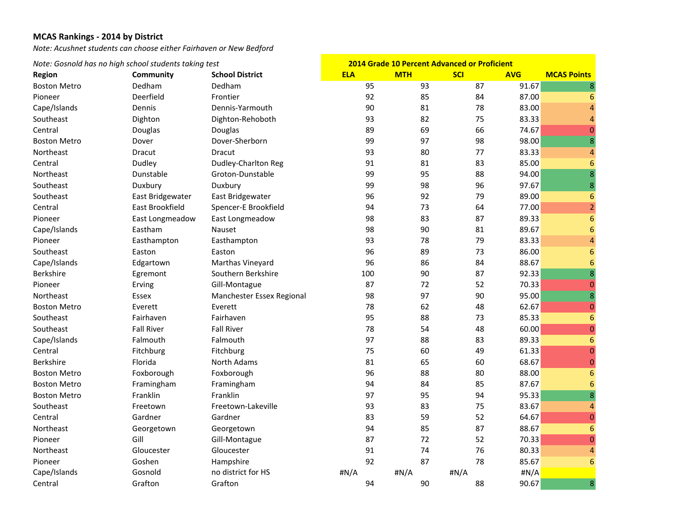*Note: Acushnet students can choose either Fairhaven or New Bedford*

| Note: Gosnold has no high school students taking test |                   | <b>2014 Grade 10 Percent Advanced or Proficient</b> |            |            |            |            |                         |
|-------------------------------------------------------|-------------------|-----------------------------------------------------|------------|------------|------------|------------|-------------------------|
| Region                                                | Community         | <b>School District</b>                              | <b>ELA</b> | <b>MTH</b> | <b>SCI</b> | <b>AVG</b> | <b>MCAS Points</b>      |
| <b>Boston Metro</b>                                   | Dedham            | Dedham                                              | 95         | 93         | 87         | 91.67      | $\bf8$                  |
| Pioneer                                               | Deerfield         | Frontier                                            | 92         | 85         | 84         | 87.00      | 6                       |
| Cape/Islands                                          | Dennis            | Dennis-Yarmouth                                     | 90         | 81         | 78         | 83.00      | $\overline{4}$          |
| Southeast                                             | Dighton           | Dighton-Rehoboth                                    | 93         | 82         | 75         | 83.33      | $\overline{4}$          |
| Central                                               | Douglas           | Douglas                                             | 89         | 69         | 66         | 74.67      | $\mathbf{0}$            |
| <b>Boston Metro</b>                                   | Dover             | Dover-Sherborn                                      | 99         | 97         | 98         | 98.00      | $\overline{8}$          |
| Northeast                                             | Dracut            | Dracut                                              | 93         | 80         | 77         | 83.33      | $\overline{a}$          |
| Central                                               | Dudley            | Dudley-Charlton Reg                                 | 91         | 81         | 83         | 85.00      | $6\phantom{1}6$         |
| Northeast                                             | Dunstable         | Groton-Dunstable                                    | 99         | 95         | 88         | 94.00      | 8                       |
| Southeast                                             | Duxbury           | Duxbury                                             | 99         | 98         | 96         | 97.67      | $\bf 8$                 |
| Southeast                                             | East Bridgewater  | East Bridgewater                                    | 96         | 92         | 79         | 89.00      | $6\phantom{1}6$         |
| Central                                               | East Brookfield   | Spencer-E Brookfield                                | 94         | 73         | 64         | 77.00      | $\overline{2}$          |
| Pioneer                                               | East Longmeadow   | East Longmeadow                                     | 98         | 83         | 87         | 89.33      | $6\phantom{1}6$         |
| Cape/Islands                                          | Eastham           | <b>Nauset</b>                                       | 98         | 90         | 81         | 89.67      | $6\phantom{1}6$         |
| Pioneer                                               | Easthampton       | Easthampton                                         | 93         | 78         | 79         | 83.33      | $\overline{a}$          |
| Southeast                                             | Easton            | Easton                                              | 96         | 89         | 73         | 86.00      | 6                       |
| Cape/Islands                                          | Edgartown         | Marthas Vineyard                                    | 96         | 86         | 84         | 88.67      | $6\phantom{1}6$         |
| Berkshire                                             | Egremont          | Southern Berkshire                                  | 100        | 90         | 87         | 92.33      | 8                       |
| Pioneer                                               | Erving            | Gill-Montague                                       | 87         | 72         | 52         | 70.33      | $\mathbf{0}$            |
| Northeast                                             | Essex             | Manchester Essex Regional                           | 98         | 97         | 90         | 95.00      | $\overline{8}$          |
| <b>Boston Metro</b>                                   | Everett           | Everett                                             | 78         | 62         | 48         | 62.67      | $\boldsymbol{0}$        |
| Southeast                                             | Fairhaven         | Fairhaven                                           | 95         | 88         | 73         | 85.33      | $6\phantom{1}6$         |
| Southeast                                             | <b>Fall River</b> | <b>Fall River</b>                                   | 78         | 54         | 48         | 60.00      | $\mathbf{0}$            |
| Cape/Islands                                          | Falmouth          | Falmouth                                            | 97         | 88         | 83         | 89.33      | $\boldsymbol{6}$        |
| Central                                               | Fitchburg         | Fitchburg                                           | 75         | 60         | 49         | 61.33      | $\mathbf 0$             |
| Berkshire                                             | Florida           | North Adams                                         | 81         | 65         | 60         | 68.67      | $\pmb{0}$               |
| <b>Boston Metro</b>                                   | Foxborough        | Foxborough                                          | 96         | 88         | 80         | 88.00      | $6\phantom{1}6$         |
| <b>Boston Metro</b>                                   | Framingham        | Framingham                                          | 94         | 84         | 85         | 87.67      | $6\phantom{1}6$         |
| <b>Boston Metro</b>                                   | Franklin          | Franklin                                            | 97         | 95         | 94         | 95.33      | 8                       |
| Southeast                                             | Freetown          | Freetown-Lakeville                                  | 93         | 83         | 75         | 83.67      | 4                       |
| Central                                               | Gardner           | Gardner                                             | 83         | 59         | 52         | 64.67      | $\pmb{0}$               |
| Northeast                                             | Georgetown        | Georgetown                                          | 94         | 85         | 87         | 88.67      | $6\phantom{1}6$         |
| Pioneer                                               | Gill              | Gill-Montague                                       | 87         | 72         | 52         | 70.33      | $\mathbf 0$             |
| Northeast                                             | Gloucester        | Gloucester                                          | 91         | 74         | 76         | 80.33      | $\overline{\mathbf{r}}$ |
| Pioneer                                               | Goshen            | Hampshire                                           | 92         | 87         | 78         | 85.67      | $6\phantom{1}6$         |
| Cape/Islands                                          | Gosnold           | no district for HS                                  | #N/A       | #N/A       | #N/A       | #N/A       |                         |
| Central                                               | Grafton           | Grafton                                             | 94         | 90         | 88         | 90.67      | 8                       |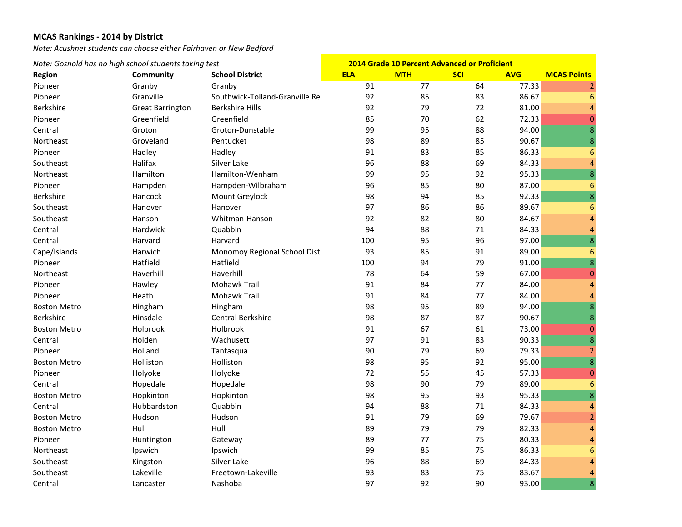*Note: Acushnet students can choose either Fairhaven or New Bedford*

| Note: Gosnold has no high school students taking test |                         | 2014 Grade 10 Percent Advanced or Proficient |            |            |            |            |                    |
|-------------------------------------------------------|-------------------------|----------------------------------------------|------------|------------|------------|------------|--------------------|
| Region                                                | Community               | <b>School District</b>                       | <b>ELA</b> | <b>MTH</b> | <b>SCI</b> | <b>AVG</b> | <b>MCAS Points</b> |
| Pioneer                                               | Granby                  | Granby                                       | 91         | 77         | 64         | 77.33      | $\overline{2}$     |
| Pioneer                                               | Granville               | Southwick-Tolland-Granville Re               | 92         | 85         | 83         | 86.67      | 6                  |
| Berkshire                                             | <b>Great Barrington</b> | <b>Berkshire Hills</b>                       | 92         | 79         | 72         | 81.00      | $\overline{a}$     |
| Pioneer                                               | Greenfield              | Greenfield                                   | 85         | 70         | 62         | 72.33      | $\overline{0}$     |
| Central                                               | Groton                  | Groton-Dunstable                             | 99         | 95         | 88         | 94.00      | 8                  |
| Northeast                                             | Groveland               | Pentucket                                    | 98         | 89         | 85         | 90.67      | $\bf 8$            |
| Pioneer                                               | Hadley                  | Hadley                                       | 91         | 83         | 85         | 86.33      | 6                  |
| Southeast                                             | Halifax                 | Silver Lake                                  | 96         | 88         | 69         | 84.33      | $\overline{a}$     |
| Northeast                                             | Hamilton                | Hamilton-Wenham                              | 99         | 95         | 92         | 95.33      | $\overline{8}$     |
| Pioneer                                               | Hampden                 | Hampden-Wilbraham                            | 96         | 85         | 80         | 87.00      | $6\phantom{1}6$    |
| Berkshire                                             | Hancock                 | Mount Greylock                               | 98         | 94         | 85         | 92.33      | $\overline{8}$     |
| Southeast                                             | Hanover                 | Hanover                                      | 97         | 86         | 86         | 89.67      | $6\phantom{1}6$    |
| Southeast                                             | Hanson                  | Whitman-Hanson                               | 92         | 82         | 80         | 84.67      | $\overline{4}$     |
| Central                                               | Hardwick                | Quabbin                                      | 94         | 88         | 71         | 84.33      | $\overline{4}$     |
| Central                                               | Harvard                 | Harvard                                      | 100        | 95         | 96         | 97.00      | 8                  |
| Cape/Islands                                          | Harwich                 | Monomoy Regional School Dist                 | 93         | 85         | 91         | 89.00      | 6                  |
| Pioneer                                               | Hatfield                | Hatfield                                     | 100        | 94         | 79         | 91.00      | $\bf 8$            |
| Northeast                                             | Haverhill               | Haverhill                                    | 78         | 64         | 59         | 67.00      | $\boldsymbol{0}$   |
| Pioneer                                               | Hawley                  | Mohawk Trail                                 | 91         | 84         | 77         | 84.00      | $\overline{4}$     |
| Pioneer                                               | Heath                   | <b>Mohawk Trail</b>                          | 91         | 84         | 77         | 84.00      | $\overline{4}$     |
| <b>Boston Metro</b>                                   | Hingham                 | Hingham                                      | 98         | 95         | 89         | 94.00      | $\overline{8}$     |
| Berkshire                                             | Hinsdale                | Central Berkshire                            | 98         | 87         | 87         | 90.67      | $\bf 8$            |
| <b>Boston Metro</b>                                   | Holbrook                | Holbrook                                     | 91         | 67         | 61         | 73.00      | $\mathbf{0}$       |
| Central                                               | Holden                  | Wachusett                                    | 97         | 91         | 83         | 90.33      | $\overline{8}$     |
| Pioneer                                               | Holland                 | Tantasqua                                    | 90         | 79         | 69         | 79.33      | $\overline{2}$     |
| <b>Boston Metro</b>                                   | Holliston               | Holliston                                    | 98         | 95         | 92         | 95.00      | $\overline{8}$     |
| Pioneer                                               | Holyoke                 | Holyoke                                      | 72         | 55         | 45         | 57.33      | $\mathbf{0}$       |
| Central                                               | Hopedale                | Hopedale                                     | 98         | 90         | 79         | 89.00      | $6\phantom{1}6$    |
| <b>Boston Metro</b>                                   | Hopkinton               | Hopkinton                                    | 98         | 95         | 93         | 95.33      | $\bf 8$            |
| Central                                               | Hubbardston             | Quabbin                                      | 94         | 88         | 71         | 84.33      | $\overline{a}$     |
| <b>Boston Metro</b>                                   | Hudson                  | Hudson                                       | 91         | 79         | 69         | 79.67      | $\overline{2}$     |
| <b>Boston Metro</b>                                   | Hull                    | Hull                                         | 89         | 79         | 79         | 82.33      | $\overline{4}$     |
| Pioneer                                               | Huntington              | Gateway                                      | 89         | 77         | 75         | 80.33      | $\overline{4}$     |
| Northeast                                             | Ipswich                 | Ipswich                                      | 99         | 85         | 75         | 86.33      | 6                  |
| Southeast                                             | Kingston                | Silver Lake                                  | 96         | 88         | 69         | 84.33      | $\overline{4}$     |
| Southeast                                             | Lakeville               | Freetown-Lakeville                           | 93         | 83         | 75         | 83.67      | $\overline{4}$     |
| Central                                               | Lancaster               | Nashoba                                      | 97         | 92         | 90         | 93.00      | 8                  |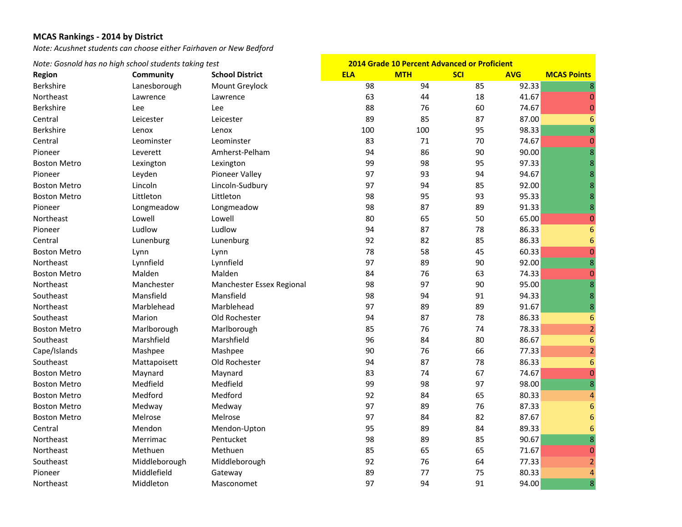*Note: Acushnet students can choose either Fairhaven or New Bedford*

| Note: Gosnold has no high school students taking test |               | <b>2014 Grade 10 Percent Advanced or Proficient</b> |            |            |            |            |                    |
|-------------------------------------------------------|---------------|-----------------------------------------------------|------------|------------|------------|------------|--------------------|
| <b>Region</b>                                         | Community     | <b>School District</b>                              | <b>ELA</b> | <b>MTH</b> | <b>SCI</b> | <b>AVG</b> | <b>MCAS Points</b> |
| Berkshire                                             | Lanesborough  | Mount Greylock                                      | 98         | 94         | 85         | 92.33      | 8                  |
| Northeast                                             | Lawrence      | Lawrence                                            | 63         | 44         | 18         | 41.67      | $\mathbf{0}$       |
| Berkshire                                             | Lee           | Lee                                                 | 88         | 76         | 60         | 74.67      | $\mathbf 0$        |
| Central                                               | Leicester     | Leicester                                           | 89         | 85         | 87         | 87.00      | $6\phantom{1}6$    |
| Berkshire                                             | Lenox         | Lenox                                               | 100        | 100        | 95         | 98.33      | $\overline{8}$     |
| Central                                               | Leominster    | Leominster                                          | 83         | 71         | 70         | 74.67      | $\overline{0}$     |
| Pioneer                                               | Leverett      | Amherst-Pelham                                      | 94         | 86         | 90         | 90.00      | $\overline{8}$     |
| <b>Boston Metro</b>                                   | Lexington     | Lexington                                           | 99         | 98         | 95         | 97.33      | 8                  |
| Pioneer                                               | Leyden        | Pioneer Valley                                      | 97         | 93         | 94         | 94.67      | 8                  |
| <b>Boston Metro</b>                                   | Lincoln       | Lincoln-Sudbury                                     | 97         | 94         | 85         | 92.00      | 8                  |
| <b>Boston Metro</b>                                   | Littleton     | Littleton                                           | 98         | 95         | 93         | 95.33      | 8                  |
| Pioneer                                               | Longmeadow    | Longmeadow                                          | 98         | 87         | 89         | 91.33      | 8                  |
| Northeast                                             | Lowell        | Lowell                                              | 80         | 65         | 50         | 65.00      | $\mathbf 0$        |
| Pioneer                                               | Ludlow        | Ludlow                                              | 94         | 87         | 78         | 86.33      | $6\phantom{1}6$    |
| Central                                               | Lunenburg     | Lunenburg                                           | 92         | 82         | 85         | 86.33      | 6                  |
| <b>Boston Metro</b>                                   | Lynn          | Lynn                                                | 78         | 58         | 45         | 60.33      | $\overline{0}$     |
| Northeast                                             | Lynnfield     | Lynnfield                                           | 97         | 89         | 90         | 92.00      | 8                  |
| <b>Boston Metro</b>                                   | Malden        | Malden                                              | 84         | 76         | 63         | 74.33      | $\mathbf{0}$       |
| Northeast                                             | Manchester    | Manchester Essex Regional                           | 98         | 97         | 90         | 95.00      | $\overline{8}$     |
| Southeast                                             | Mansfield     | Mansfield                                           | 98         | 94         | 91         | 94.33      | $\bf 8$            |
| Northeast                                             | Marblehead    | Marblehead                                          | 97         | 89         | 89         | 91.67      | 8                  |
| Southeast                                             | Marion        | Old Rochester                                       | 94         | 87         | 78         | 86.33      | $\overline{6}$     |
| <b>Boston Metro</b>                                   | Marlborough   | Marlborough                                         | 85         | 76         | 74         | 78.33      | $\overline{2}$     |
| Southeast                                             | Marshfield    | Marshfield                                          | 96         | 84         | 80         | 86.67      | $6\phantom{1}6$    |
| Cape/Islands                                          | Mashpee       | Mashpee                                             | 90         | 76         | 66         | 77.33      | $\overline{a}$     |
| Southeast                                             | Mattapoisett  | Old Rochester                                       | 94         | 87         | 78         | 86.33      | $\boldsymbol{6}$   |
| <b>Boston Metro</b>                                   | Maynard       | Maynard                                             | 83         | 74         | 67         | 74.67      | $\mathbf 0$        |
| <b>Boston Metro</b>                                   | Medfield      | Medfield                                            | 99         | 98         | 97         | 98.00      | $\overline{8}$     |
| <b>Boston Metro</b>                                   | Medford       | Medford                                             | 92         | 84         | 65         | 80.33      | $\overline{a}$     |
| <b>Boston Metro</b>                                   | Medway        | Medway                                              | 97         | 89         | 76         | 87.33      | $6\phantom{1}6$    |
| <b>Boston Metro</b>                                   | Melrose       | Melrose                                             | 97         | 84         | 82         | 87.67      | $6\phantom{1}6$    |
| Central                                               | Mendon        | Mendon-Upton                                        | 95         | 89         | 84         | 89.33      | 6                  |
| Northeast                                             | Merrimac      | Pentucket                                           | 98         | 89         | 85         | 90.67      | $\overline{8}$     |
| Northeast                                             | Methuen       | Methuen                                             | 85         | 65         | 65         | 71.67      | $\mathbf{0}$       |
| Southeast                                             | Middleborough | Middleborough                                       | 92         | 76         | 64         | 77.33      | $\overline{a}$     |
| Pioneer                                               | Middlefield   | Gateway                                             | 89         | 77         | 75         | 80.33      | $\overline{4}$     |
| Northeast                                             | Middleton     | Masconomet                                          | 97         | 94         | 91         | 94.00      | 8                  |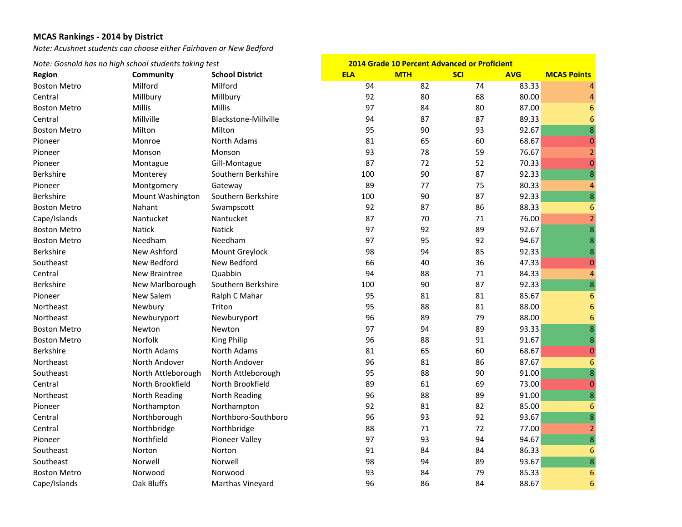*Note: Acushnet students can choose either Fairhaven or New Bedford*

| Note: Gosnold has no high school students taking test |                      | <b>2014 Grade 10 Percent Advanced or Proficient</b> |            |            |            |            |                    |
|-------------------------------------------------------|----------------------|-----------------------------------------------------|------------|------------|------------|------------|--------------------|
| <b>Region</b>                                         | Community            | <b>School District</b>                              | <b>ELA</b> | <b>MTH</b> | <b>SCI</b> | <b>AVG</b> | <b>MCAS Points</b> |
| <b>Boston Metro</b>                                   | Milford              | Milford                                             | 94         | 82         | 74         | 83.33      |                    |
| Central                                               | Millbury             | Millbury                                            | 92         | 80         | 68         | 80.00      | $\overline{4}$     |
| <b>Boston Metro</b>                                   | Millis               | Millis                                              | 97         | 84         | 80         | 87.00      | 6                  |
| Central                                               | Millville            | Blackstone-Millville                                | 94         | 87         | 87         | 89.33      | $6\phantom{1}6$    |
| <b>Boston Metro</b>                                   | Milton               | Milton                                              | 95         | 90         | 93         | 92.67      | $\overline{8}$     |
| Pioneer                                               | Monroe               | North Adams                                         | 81         | 65         | 60         | 68.67      | $\mathbf 0$        |
| Pioneer                                               | Monson               | Monson                                              | 93         | 78         | 59         | 76.67      | $\overline{2}$     |
| Pioneer                                               | Montague             | Gill-Montague                                       | 87         | 72         | 52         | 70.33      | $\mathbf{0}$       |
| <b>Berkshire</b>                                      | Monterey             | Southern Berkshire                                  | 100        | 90         | 87         | 92.33      | 8                  |
| Pioneer                                               | Montgomery           | Gateway                                             | 89         | 77         | 75         | 80.33      | $\overline{4}$     |
| Berkshire                                             | Mount Washington     | Southern Berkshire                                  | 100        | 90         | 87         | 92.33      | 8                  |
| <b>Boston Metro</b>                                   | Nahant               | Swampscott                                          | 92         | 87         | 86         | 88.33      | 6                  |
| Cape/Islands                                          | Nantucket            | Nantucket                                           | 87         | 70         | 71         | 76.00      | $\overline{2}$     |
| <b>Boston Metro</b>                                   | <b>Natick</b>        | Natick                                              | 97         | 92         | 89         | 92.67      | 8                  |
| <b>Boston Metro</b>                                   | Needham              | Needham                                             | 97         | 95         | 92         | 94.67      | 8                  |
| <b>Berkshire</b>                                      | New Ashford          | Mount Greylock                                      | 98         | 94         | 85         | 92.33      | 8                  |
| Southeast                                             | New Bedford          | New Bedford                                         | 66         | 40         | 36         | 47.33      | $\mathbf{0}$       |
| Central                                               | <b>New Braintree</b> | Quabbin                                             | 94         | 88         | 71         | 84.33      | $\overline{a}$     |
| Berkshire                                             | New Marlborough      | Southern Berkshire                                  | 100        | 90         | 87         | 92.33      | $\overline{8}$     |
| Pioneer                                               | New Salem            | Ralph C Mahar                                       | 95         | 81         | 81         | 85.67      | $6\phantom{1}6$    |
| Northeast                                             | Newbury              | Triton                                              | 95         | 88         | 81         | 88.00      | $6\phantom{1}6$    |
| Northeast                                             | Newburyport          | Newburyport                                         | 96         | 89         | 79         | 88.00      | $6\phantom{1}6$    |
| <b>Boston Metro</b>                                   | Newton               | Newton                                              | 97         | 94         | 89         | 93.33      | 8                  |
| <b>Boston Metro</b>                                   | Norfolk              | King Philip                                         | 96         | 88         | 91         | 91.67      | 8                  |
| Berkshire                                             | <b>North Adams</b>   | <b>North Adams</b>                                  | 81         | 65         | 60         | 68.67      | $\mathbf 0$        |
| Northeast                                             | North Andover        | North Andover                                       | 96         | 81         | 86         | 87.67      | $\boldsymbol{6}$   |
| Southeast                                             | North Attleborough   | North Attleborough                                  | 95         | 88         | 90         | 91.00      | 8                  |
| Central                                               | North Brookfield     | North Brookfield                                    | 89         | 61         | 69         | 73.00      | $\overline{0}$     |
| Northeast                                             | North Reading        | North Reading                                       | 96         | 88         | 89         | 91.00      | $\overline{8}$     |
| Pioneer                                               | Northampton          | Northampton                                         | 92         | 81         | 82         | 85.00      | 6                  |
| Central                                               | Northborough         | Northboro-Southboro                                 | 96         | 93         | 92         | 93.67      | 8                  |
| Central                                               | Northbridge          | Northbridge                                         | 88         | 71         | 72         | 77.00      | $\overline{2}$     |
| Pioneer                                               | Northfield           | Pioneer Valley                                      | 97         | 93         | 94         | 94.67      | $\overline{8}$     |
| Southeast                                             | Norton               | Norton                                              | 91         | 84         | 84         | 86.33      | 6                  |
| Southeast                                             | Norwell              | Norwell                                             | 98         | 94         | 89         | 93.67      | 8                  |
| <b>Boston Metro</b>                                   | Norwood              | Norwood                                             | 93         | 84         | 79         | 85.33      | 6                  |
| Cape/Islands                                          | Oak Bluffs           | Marthas Vineyard                                    | 96         | 86         | 84         | 88.67      | 6                  |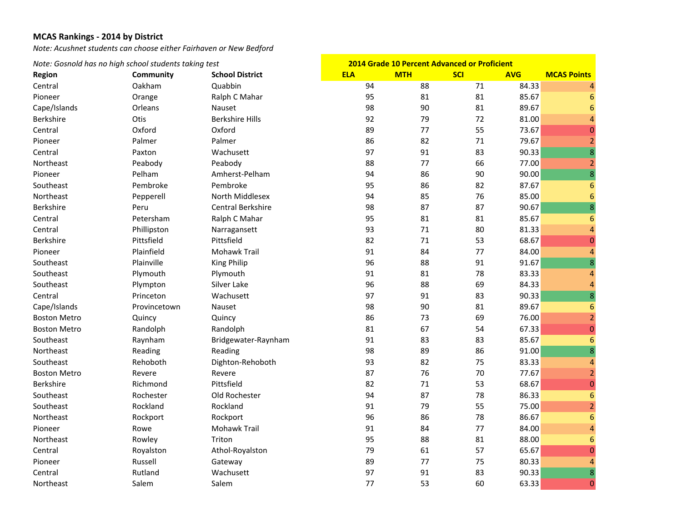*Note: Acushnet students can choose either Fairhaven or New Bedford*

| Note: Gosnold has no high school students taking test |                  | <b>2014 Grade 10 Percent Advanced or Proficient</b> |            |            |            |            |                          |
|-------------------------------------------------------|------------------|-----------------------------------------------------|------------|------------|------------|------------|--------------------------|
| Region                                                | <b>Community</b> | <b>School District</b>                              | <b>ELA</b> | <b>MTH</b> | <b>SCI</b> | <b>AVG</b> | <b>MCAS Points</b>       |
| Central                                               | Oakham           | Quabbin                                             | 94         | 88         | 71         | 84.33      | $\overline{4}$           |
| Pioneer                                               | Orange           | Ralph C Mahar                                       | 95         | 81         | 81         | 85.67      | 6                        |
| Cape/Islands                                          | Orleans          | Nauset                                              | 98         | 90         | 81         | 89.67      | $6\phantom{1}6$          |
| Berkshire                                             | Otis             | <b>Berkshire Hills</b>                              | 92         | 79         | 72         | 81.00      | $\overline{A}$           |
| Central                                               | Oxford           | Oxford                                              | 89         | 77         | 55         | 73.67      | $\mathbf 0$              |
| Pioneer                                               | Palmer           | Palmer                                              | 86         | 82         | 71         | 79.67      | $\overline{2}$           |
| Central                                               | Paxton           | Wachusett                                           | 97         | 91         | 83         | 90.33      | $\overline{8}$           |
| Northeast                                             | Peabody          | Peabody                                             | 88         | 77         | 66         | 77.00      | $\overline{2}$           |
| Pioneer                                               | Pelham           | Amherst-Pelham                                      | 94         | 86         | 90         | 90.00      | 8                        |
| Southeast                                             | Pembroke         | Pembroke                                            | 95         | 86         | 82         | 87.67      | $6\phantom{1}6$          |
| Northeast                                             | Pepperell        | North Middlesex                                     | 94         | 85         | 76         | 85.00      | $6\phantom{1}6$          |
| Berkshire                                             | Peru             | <b>Central Berkshire</b>                            | 98         | 87         | 87         | 90.67      | 8                        |
| Central                                               | Petersham        | Ralph C Mahar                                       | 95         | 81         | 81         | 85.67      | $6\phantom{1}6$          |
| Central                                               | Phillipston      | Narragansett                                        | 93         | 71         | 80         | 81.33      | $\overline{4}$           |
| Berkshire                                             | Pittsfield       | Pittsfield                                          | 82         | 71         | 53         | 68.67      | $\mathbf 0$              |
| Pioneer                                               | Plainfield       | Mohawk Trail                                        | 91         | 84         | 77         | 84.00      | $\overline{a}$           |
| Southeast                                             | Plainville       | <b>King Philip</b>                                  | 96         | 88         | 91         | 91.67      | 8                        |
| Southeast                                             | Plymouth         | Plymouth                                            | 91         | 81         | 78         | 83.33      | $\overline{a}$           |
| Southeast                                             | Plympton         | Silver Lake                                         | 96         | 88         | 69         | 84.33      | $\overline{a}$           |
| Central                                               | Princeton        | Wachusett                                           | 97         | 91         | 83         | 90.33      | $\overline{8}$           |
| Cape/Islands                                          | Provincetown     | Nauset                                              | 98         | 90         | 81         | 89.67      | $6\phantom{1}6$          |
| <b>Boston Metro</b>                                   | Quincy           | Quincy                                              | 86         | 73         | 69         | 76.00      | $\overline{a}$           |
| <b>Boston Metro</b>                                   | Randolph         | Randolph                                            | 81         | 67         | 54         | 67.33      | $\mathbf 0$              |
| Southeast                                             | Raynham          | Bridgewater-Raynham                                 | 91         | 83         | 83         | 85.67      | $\overline{6}$           |
| Northeast                                             | Reading          | Reading                                             | 98         | 89         | 86         | 91.00      | $\bf 8$                  |
| Southeast                                             | Rehoboth         | Dighton-Rehoboth                                    | 93         | 82         | 75         | 83.33      | $\overline{\mathcal{A}}$ |
| <b>Boston Metro</b>                                   | Revere           | Revere                                              | 87         | 76         | 70         | 77.67      | $\overline{a}$           |
| Berkshire                                             | Richmond         | Pittsfield                                          | 82         | 71         | 53         | 68.67      | $\mathbf 0$              |
| Southeast                                             | Rochester        | Old Rochester                                       | 94         | 87         | 78         | 86.33      | $6\phantom{1}6$          |
| Southeast                                             | Rockland         | Rockland                                            | 91         | 79         | 55         | 75.00      | $\overline{2}$           |
| Northeast                                             | Rockport         | Rockport                                            | 96         | 86         | 78         | 86.67      | $6\phantom{1}$           |
| Pioneer                                               | Rowe             | Mohawk Trail                                        | 91         | 84         | 77         | 84.00      | $\overline{a}$           |
| Northeast                                             | Rowley           | Triton                                              | 95         | 88         | 81         | 88.00      | $6\phantom{1}6$          |
| Central                                               | Royalston        | Athol-Royalston                                     | 79         | 61         | 57         | 65.67      | $\overline{0}$           |
| Pioneer                                               | Russell          | Gateway                                             | 89         | 77         | 75         | 80.33      | $\overline{4}$           |
| Central                                               | Rutland          | Wachusett                                           | 97         | 91         | 83         | 90.33      | 8                        |
| Northeast                                             | Salem            | Salem                                               | 77         | 53         | 60         | 63.33      | $\bf{0}$                 |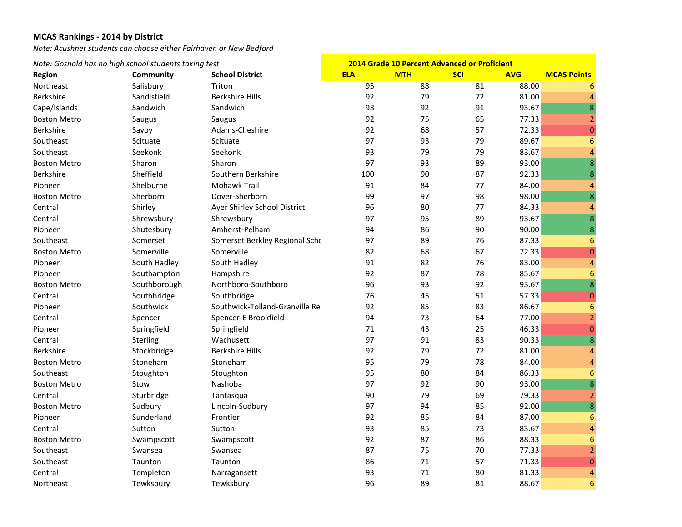*Note: Acushnet students can choose either Fairhaven or New Bedford*

|                     | Note: Gosnold has no high school students taking test |                                |            | <b>2014 Grade 10 Percent Advanced or Proficient</b> |            |            |                         |
|---------------------|-------------------------------------------------------|--------------------------------|------------|-----------------------------------------------------|------------|------------|-------------------------|
| <b>Region</b>       | Community                                             | <b>School District</b>         | <b>ELA</b> | <b>MTH</b>                                          | <b>SCI</b> | <b>AVG</b> | <b>MCAS Points</b>      |
| Northeast           | Salisbury                                             | Triton                         | 95         | 88                                                  | 81         | 88.00      | 6                       |
| Berkshire           | Sandisfield                                           | <b>Berkshire Hills</b>         | 92         | 79                                                  | 72         | 81.00      | $\overline{4}$          |
| Cape/Islands        | Sandwich                                              | Sandwich                       | 98         | 92                                                  | 91         | 93.67      | 8                       |
| <b>Boston Metro</b> | Saugus                                                | Saugus                         | 92         | 75                                                  | 65         | 77.33      | $\overline{2}$          |
| Berkshire           | Savoy                                                 | Adams-Cheshire                 | 92         | 68                                                  | 57         | 72.33      | $\mathbf 0$             |
| Southeast           | Scituate                                              | Scituate                       | 97         | 93                                                  | 79         | 89.67      | $6\phantom{1}6$         |
| Southeast           | Seekonk                                               | Seekonk                        | 93         | 79                                                  | 79         | 83.67      | $\overline{4}$          |
| <b>Boston Metro</b> | Sharon                                                | Sharon                         | 97         | 93                                                  | 89         | 93.00      | 8                       |
| <b>Berkshire</b>    | Sheffield                                             | Southern Berkshire             | 100        | 90                                                  | 87         | 92.33      | $\bf 8$                 |
| Pioneer             | Shelburne                                             | <b>Mohawk Trail</b>            | 91         | 84                                                  | 77         | 84.00      | $\overline{a}$          |
| <b>Boston Metro</b> | Sherborn                                              | Dover-Sherborn                 | 99         | 97                                                  | 98         | 98.00      | $\bf 8$                 |
| Central             | Shirley                                               | Ayer Shirley School District   | 96         | 80                                                  | 77         | 84.33      | 4                       |
| Central             | Shrewsbury                                            | Shrewsbury                     | 97         | 95                                                  | 89         | 93.67      | 8                       |
| Pioneer             | Shutesbury                                            | Amherst-Pelham                 | 94         | 86                                                  | 90         | 90.00      | $\bf 8$                 |
| Southeast           | Somerset                                              | Somerset Berkley Regional Scho | 97         | 89                                                  | 76         | 87.33      | 6                       |
| <b>Boston Metro</b> | Somerville                                            | Somerville                     | 82         | 68                                                  | 67         | 72.33      | $\mathbf 0$             |
| Pioneer             | South Hadley                                          | South Hadley                   | 91         | 82                                                  | 76         | 83.00      | $\overline{a}$          |
| Pioneer             | Southampton                                           | Hampshire                      | 92         | 87                                                  | 78         | 85.67      | $6\phantom{1}6$         |
| <b>Boston Metro</b> | Southborough                                          | Northboro-Southboro            | 96         | 93                                                  | 92         | 93.67      | $\overline{8}$          |
| Central             | Southbridge                                           | Southbridge                    | 76         | 45                                                  | 51         | 57.33      | $\pmb{0}$               |
| Pioneer             | Southwick                                             | Southwick-Tolland-Granville Re | 92         | 85                                                  | 83         | 86.67      | $6\phantom{1}6$         |
| Central             | Spencer                                               | Spencer-E Brookfield           | 94         | 73                                                  | 64         | 77.00      | $\overline{a}$          |
| Pioneer             | Springfield                                           | Springfield                    | 71         | 43                                                  | 25         | 46.33      | $\mathbf{0}$            |
| Central             | Sterling                                              | Wachusett                      | 97         | 91                                                  | 83         | 90.33      | 8                       |
| Berkshire           | Stockbridge                                           | <b>Berkshire Hills</b>         | 92         | 79                                                  | 72         | 81.00      | $\overline{a}$          |
| <b>Boston Metro</b> | Stoneham                                              | Stoneham                       | 95         | 79                                                  | 78         | 84.00      | $\overline{a}$          |
| Southeast           | Stoughton                                             | Stoughton                      | 95         | 80                                                  | 84         | 86.33      | $6\phantom{1}6$         |
| <b>Boston Metro</b> | Stow                                                  | Nashoba                        | 97         | 92                                                  | 90         | 93.00      | $\overline{\mathbf{8}}$ |
| Central             | Sturbridge                                            | Tantasqua                      | 90         | 79                                                  | 69         | 79.33      | $\overline{2}$          |
| <b>Boston Metro</b> | Sudbury                                               | Lincoln-Sudbury                | 97         | 94                                                  | 85         | 92.00      | $\overline{8}$          |
| Pioneer             | Sunderland                                            | Frontier                       | 92         | 85                                                  | 84         | 87.00      | $6\phantom{1}6$         |
| Central             | Sutton                                                | Sutton                         | 93         | 85                                                  | 73         | 83.67      | $\overline{a}$          |
| <b>Boston Metro</b> | Swampscott                                            | Swampscott                     | 92         | 87                                                  | 86         | 88.33      | 6                       |
| Southeast           | Swansea                                               | Swansea                        | 87         | 75                                                  | 70         | 77.33      | $\overline{2}$          |
| Southeast           | Taunton                                               | Taunton                        | 86         | 71                                                  | 57         | 71.33      | $\boldsymbol{0}$        |
| Central             | Templeton                                             | Narragansett                   | 93         | 71                                                  | 80         | 81.33      | $\overline{4}$          |
| Northeast           | Tewksbury                                             | Tewksbury                      | 96         | 89                                                  | 81         | 88.67      | $6\phantom{1}6$         |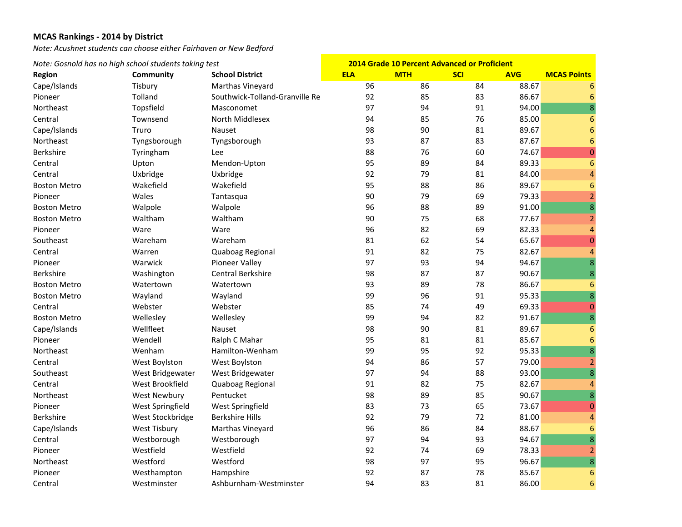*Note: Acushnet students can choose either Fairhaven or New Bedford*

| Note: Gosnold has no high school students taking test |                  | 2014 Grade 10 Percent Advanced or Proficient |            |            |            |            |                          |
|-------------------------------------------------------|------------------|----------------------------------------------|------------|------------|------------|------------|--------------------------|
| <b>Region</b>                                         | Community        | <b>School District</b>                       | <b>ELA</b> | <b>MTH</b> | <b>SCI</b> | <b>AVG</b> | <b>MCAS Points</b>       |
| Cape/Islands                                          | Tisbury          | Marthas Vineyard                             | 96         | 86         | 84         | 88.67      | 6                        |
| Pioneer                                               | Tolland          | Southwick-Tolland-Granville Re               | 92         | 85         | 83         | 86.67      | 6                        |
| Northeast                                             | Topsfield        | Masconomet                                   | 97         | 94         | 91         | 94.00      | 8                        |
| Central                                               | Townsend         | North Middlesex                              | 94         | 85         | 76         | 85.00      | $6\phantom{1}6$          |
| Cape/Islands                                          | Truro            | <b>Nauset</b>                                | 98         | 90         | 81         | 89.67      | $6\phantom{1}6$          |
| Northeast                                             | Tyngsborough     | Tyngsborough                                 | 93         | 87         | 83         | 87.67      | $\boldsymbol{6}$         |
| Berkshire                                             | Tyringham        | Lee                                          | 88         | 76         | 60         | 74.67      | $\pmb{0}$                |
| Central                                               | Upton            | Mendon-Upton                                 | 95         | 89         | 84         | 89.33      | $6\phantom{1}6$          |
| Central                                               | Uxbridge         | Uxbridge                                     | 92         | 79         | 81         | 84.00      | $\overline{\mathbf{4}}$  |
| <b>Boston Metro</b>                                   | Wakefield        | Wakefield                                    | 95         | 88         | 86         | 89.67      | $6\phantom{1}6$          |
| Pioneer                                               | Wales            | Tantasqua                                    | 90         | 79         | 69         | 79.33      | $\overline{2}$           |
| <b>Boston Metro</b>                                   | Walpole          | Walpole                                      | 96         | 88         | 89         | 91.00      | $\overline{\mathbf{8}}$  |
| <b>Boston Metro</b>                                   | Waltham          | Waltham                                      | 90         | 75         | 68         | 77.67      | $\overline{2}$           |
| Pioneer                                               | Ware             | Ware                                         | 96         | 82         | 69         | 82.33      | $\overline{4}$           |
| Southeast                                             | Wareham          | Wareham                                      | 81         | 62         | 54         | 65.67      | $\boldsymbol{0}$         |
| Central                                               | Warren           | Quaboag Regional                             | 91         | 82         | 75         | 82.67      | $\overline{4}$           |
| Pioneer                                               | Warwick          | Pioneer Valley                               | 97         | 93         | 94         | 94.67      | 8                        |
| <b>Berkshire</b>                                      | Washington       | Central Berkshire                            | 98         | 87         | 87         | 90.67      | $\bf 8$                  |
| <b>Boston Metro</b>                                   | Watertown        | Watertown                                    | 93         | 89         | 78         | 86.67      | $\boldsymbol{6}$         |
| <b>Boston Metro</b>                                   | Wayland          | Wayland                                      | 99         | 96         | 91         | 95.33      | 8                        |
| Central                                               | Webster          | Webster                                      | 85         | 74         | 49         | 69.33      | $\bf{0}$                 |
| <b>Boston Metro</b>                                   | Wellesley        | Wellesley                                    | 99         | 94         | 82         | 91.67      | $\overline{8}$           |
| Cape/Islands                                          | Wellfleet        | Nauset                                       | 98         | 90         | 81         | 89.67      | $6\phantom{1}6$          |
| Pioneer                                               | Wendell          | Ralph C Mahar                                | 95         | 81         | 81         | 85.67      | $6\phantom{1}6$          |
| Northeast                                             | Wenham           | Hamilton-Wenham                              | 99         | 95         | 92         | 95.33      | $\overline{\mathbf{8}}$  |
| Central                                               | West Boylston    | West Boylston                                | 94         | 86         | 57         | 79.00      | $\overline{2}$           |
| Southeast                                             | West Bridgewater | West Bridgewater                             | 97         | 94         | 88         | 93.00      | 8                        |
| Central                                               | West Brookfield  | Quaboag Regional                             | 91         | 82         | 75         | 82.67      | $\overline{a}$           |
| Northeast                                             | West Newbury     | Pentucket                                    | 98         | 89         | 85         | 90.67      | 8                        |
| Pioneer                                               | West Springfield | West Springfield                             | 83         | 73         | 65         | 73.67      | $\pmb{0}$                |
| Berkshire                                             | West Stockbridge | <b>Berkshire Hills</b>                       | 92         | 79         | 72         | 81.00      | $\overline{\mathcal{A}}$ |
| Cape/Islands                                          | West Tisbury     | Marthas Vineyard                             | 96         | 86         | 84         | 88.67      | $6\phantom{1}6$          |
| Central                                               | Westborough      | Westborough                                  | 97         | 94         | 93         | 94.67      | 8                        |
| Pioneer                                               | Westfield        | Westfield                                    | 92         | 74         | 69         | 78.33      | $\overline{2}$           |
| Northeast                                             | Westford         | Westford                                     | 98         | 97         | 95         | 96.67      | $\overline{8}$           |
| Pioneer                                               | Westhampton      | Hampshire                                    | 92         | 87         | 78         | 85.67      | $6\phantom{1}6$          |
| Central                                               | Westminster      | Ashburnham-Westminster                       | 94         | 83         | 81         | 86.00      | $6\phantom{1}6$          |